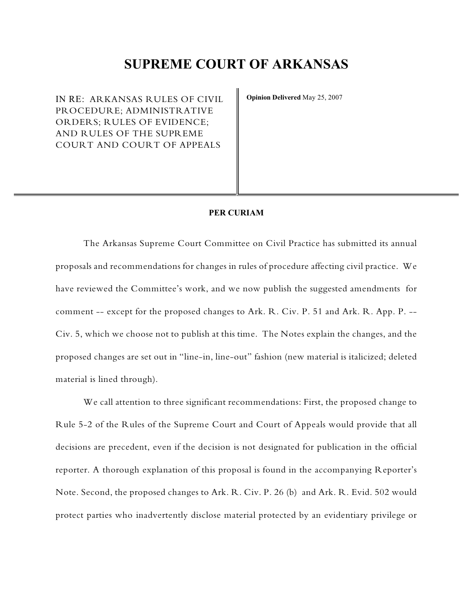# **SUPREME COURT OF ARKANSAS**

IN RE: ARKANSAS RULES OF CIVIL PROCEDURE; ADMINISTRATIVE ORDERS; RULES OF EVIDENCE; AND RULES OF THE SUPREME COURT AND COURT OF APPEALS

**Opinion Delivered** May 25, 2007

# **PER CURIAM**

The Arkansas Supreme Court Committee on Civil Practice has submitted its annual proposals and recommendations for changes in rules of procedure affecting civil practice. We have reviewed the Committee's work, and we now publish the suggested amendments for comment -- except for the proposed changes to Ark. R. Civ. P. 51 and Ark. R. App. P. -- Civ. 5, which we choose not to publish at this time. The Notes explain the changes, and the proposed changes are set out in "line-in, line-out" fashion (new material is italicized; deleted material is lined through).

We call attention to three significant recommendations: First, the proposed change to Rule 5-2 of the Rules of the Supreme Court and Court of Appeals would provide that all decisions are precedent, even if the decision is not designated for publication in the official reporter. A thorough explanation of this proposal is found in the accompanying Reporter's Note. Second, the proposed changes to Ark. R. Civ. P. 26 (b) and Ark. R. Evid. 502 would protect parties who inadvertently disclose material protected by an evidentiary privilege or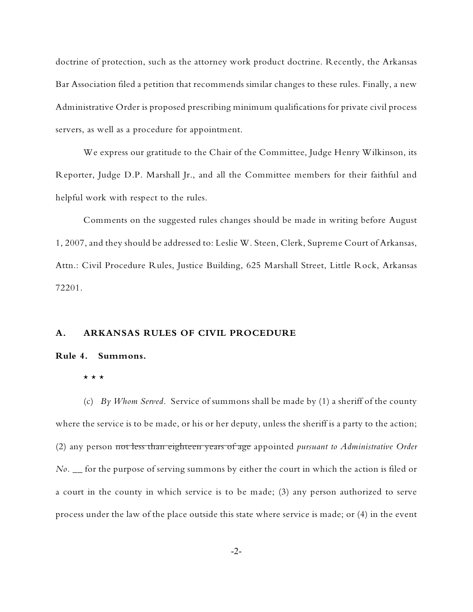doctrine of protection, such as the attorney work product doctrine. Recently, the Arkansas Bar Association filed a petition that recommends similar changes to these rules. Finally, a new Administrative Order is proposed prescribing minimum qualifications for private civil process servers, as well as a procedure for appointment.

We express our gratitude to the Chair of the Committee, Judge Henry Wilkinson, its Reporter, Judge D.P. Marshall Jr., and all the Committee members for their faithful and helpful work with respect to the rules.

Comments on the suggested rules changes should be made in writing before August 1, 2007, and they should be addressed to: Leslie W. Steen, Clerk, Supreme Court of Arkansas, Attn.: Civil Procedure Rules, Justice Building, 625 Marshall Street, Little Rock, Arkansas 72201.

# **A. ARKANSAS RULES OF CIVIL PROCEDURE**

#### **Rule 4. Summons.**

#### \* \* \*

(c) *By Whom Served.* Service of summons shall be made by (1) a sheriff of the county where the service is to be made, or his or her deputy, unless the sheriff is a party to the action; (2) any person not less than eighteen years of age appointed *pursuant to Administrative Order No. \_\_* for the purpose of serving summons by either the court in which the action is filed or a court in the county in which service is to be made; (3) any person authorized to serve process under the law of the place outside this state where service is made; or (4) in the event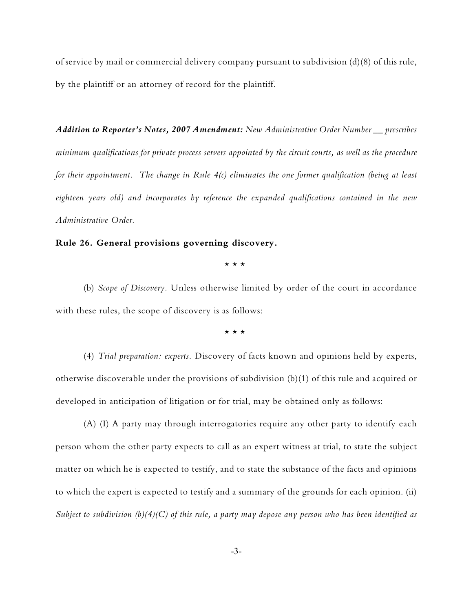of service by mail or commercial delivery company pursuant to subdivision (d)(8) of this rule, by the plaintiff or an attorney of record for the plaintiff.

*Addition to Reporter's Notes, 2007 Amendment: New Administrative Order Number \_\_ prescribes minimum qualifications for private process servers appointed by the circuit courts, as well as the procedure for their appointment. The change in Rule 4(c) eliminates the one former qualification (being at least eighteen years old) and incorporates by reference the expanded qualifications contained in the new Administrative Order.*

# **Rule 26. General provisions governing discovery.**

\* \* \*

(b) *Scope of Discovery.* Unless otherwise limited by order of the court in accordance with these rules, the scope of discovery is as follows:

\* \* \*

(4) *Trial preparation: experts.* Discovery of facts known and opinions held by experts, otherwise discoverable under the provisions of subdivision (b)(1) of this rule and acquired or developed in anticipation of litigation or for trial, may be obtained only as follows:

(A) (I) A party may through interrogatories require any other party to identify each person whom the other party expects to call as an expert witness at trial, to state the subject matter on which he is expected to testify, and to state the substance of the facts and opinions to which the expert is expected to testify and a summary of the grounds for each opinion. (ii) *Subject to subdivision (b)(4)(C) of this rule, a party may depose any person who has been identified as*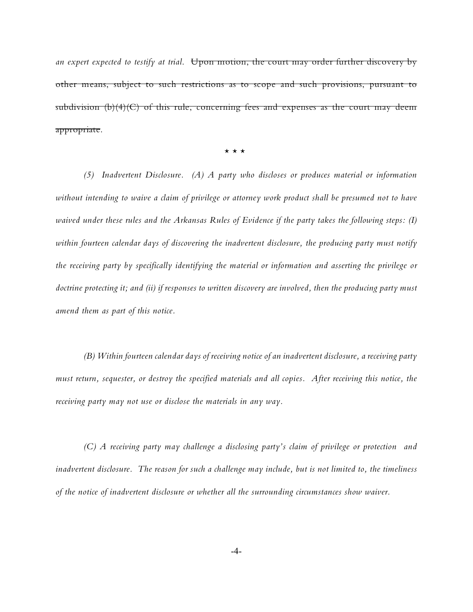an expert expected to testify at trial. Upon motion, the court may order further discovery by other means, subject to such restrictions as to scope and such provisions, pursuant to subdivision  $(b)(4)(C)$  of this rule, concerning fees and expenses as the court may deem appropriate.

 $\star$   $\star$   $\star$ 

*(5) Inadvertent Disclosure. (A) A party who discloses or produces material or information without intending to waive a claim of privilege or attorney work product shall be presumed not to have waived under these rules and the Arkansas Rules of Evidence if the party takes the following steps: (I) within fourteen calendar days of discovering the inadvertent disclosure, the producing party must notify the receiving party by specifically identifying the material or information and asserting the privilege or doctrine protecting it; and (ii) if responses to written discovery are involved, then the producing party must amend them as part of this notice.* 

*(B) Within fourteen calendar days of receiving notice of an inadvertent disclosure, a receiving party must return, sequester, or destroy the specified materials and all copies. After receiving this notice, the receiving party may not use or disclose the materials in any way.*

*(C) A receiving party may challenge a disclosing party's claim of privilege or protection and inadvertent disclosure. The reason for such a challenge may include, but is not limited to, the timeliness of the notice of inadvertent disclosure or whether all the surrounding circumstances show waiver.*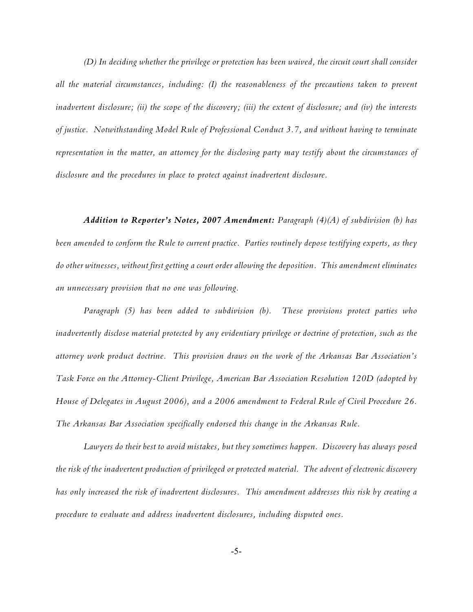*(D) In deciding whether the privilege or protection has been waived, the circuit court shall consider all the material circumstances, including: (I) the reasonableness of the precautions taken to prevent inadvertent disclosure; (ii) the scope of the discovery; (iii) the extent of disclosure; and (iv) the interests of justice. Notwithstanding Model Rule of Professional Conduct 3.7, and without having to terminate representation in the matter, an attorney for the disclosing party may testify about the circumstances of disclosure and the procedures in place to protect against inadvertent disclosure.* 

*Addition to Reporter's Notes, 2007 Amendment: Paragraph (4)(A) of subdivision (b) has been amended to conform the Rule to current practice. Parties routinely depose testifying experts, as they do other witnesses, without first getting a court order allowing the deposition. This amendment eliminates an unnecessary provision that no one was following.*

*Paragraph (5) has been added to subdivision (b). These provisions protect parties who inadvertently disclose material protected by any evidentiary privilege or doctrine of protection, such as the attorney work product doctrine. This provision draws on the work of the Arkansas Bar Association's Task Force on the Attorney-Client Privilege, American Bar Association Resolution 120D (adopted by House of Delegates in August 2006), and a 2006 amendment to Federal Rule of Civil Procedure 26. The Arkansas Bar Association specifically endorsed this change in the Arkansas Rule.*

*Lawyers do their best to avoid mistakes, but they sometimes happen. Discovery has always posed the risk of the inadvertent production of privileged or protected material. The advent of electronic discovery has only increased the risk of inadvertent disclosures. This amendment addresses this risk by creating a procedure to evaluate and address inadvertent disclosures, including disputed ones.*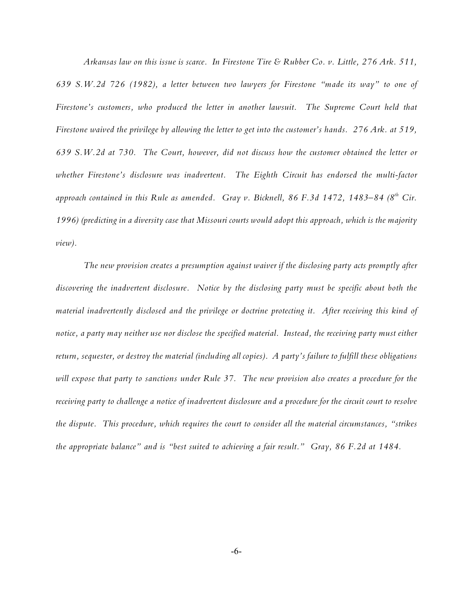*Arkansas law on this issue is scarce. In Firestone Tire & Rubber Co. v. Little, 276 Ark. 511, 639 S.W.2d 726 (1982), a letter between two lawyers for Firestone "made its way" to one of Firestone's customers, who produced the letter in another lawsuit. The Supreme Court held that Firestone waived the privilege by allowing the letter to get into the customer's hands. 276 Ark. at 519, 639 S.W.2d at 730. The Court, however, did not discuss how the customer obtained the letter or whether Firestone's disclosure was inadvertent. The Eighth Circuit has endorsed the multi-factor* approach contained in this Rule as amended. Gray v. Bicknell, 86 F.3d 1472, 1483–84 (8<sup>th</sup> Cir. *1996) (predicting in a diversity case that Missouri courts would adopt this approach, which is the majority view).* 

*The new provision creates a presumption against waiver if the disclosing party acts promptly after discovering the inadvertent disclosure. Notice by the disclosing party must be specific about both the material inadvertently disclosed and the privilege or doctrine protecting it. After receiving this kind of notice, a party may neither use nor disclose the specified material. Instead, the receiving party must either return, sequester, or destroy the material (including all copies). A party's failure to fulfill these obligations will expose that party to sanctions under Rule 37. The new provision also creates a procedure for the receiving party to challenge a notice of inadvertent disclosure and a procedure for the circuit court to resolve the dispute. This procedure, which requires the court to consider all the material circumstances, "strikes the appropriate balance" and is "best suited to achieving a fair result." Gray, 86 F.2d at 1484.*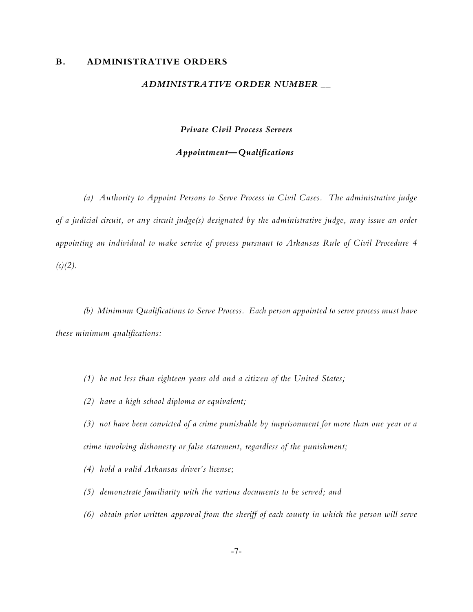#### **B. ADMINISTRATIVE ORDERS**

#### *ADMINISTRATIVE ORDER NUMBER \_\_*

*Private Civil Process Servers*

## *Appointment—Qualifications*

*(a) Authority to Appoint Persons to Serve Process in Civil Cases. The administrative judge of a judicial circuit, or any circuit judge(s) designated by the administrative judge, may issue an order appointing an individual to make service of process pursuant to Arkansas Rule of Civil Procedure 4*  $(c)(2)$ .

*(b) Minimum Qualifications to Serve Process. Each person appointed to serve process must have these minimum qualifications:* 

- *(1) be not less than eighteen years old and a citizen of the United States;*
- *(2) have a high school diploma or equivalent;*
- *(3) not have been convicted of a crime punishable by imprisonment for more than one year or a crime involving dishonesty or false statement, regardless of the punishment;*
- *(4) hold a valid Arkansas driver's license;*
- *(5) demonstrate familiarity with the various documents to be served; and*
- *(6) obtain prior written approval from the sheriff of each county in which the person will serve*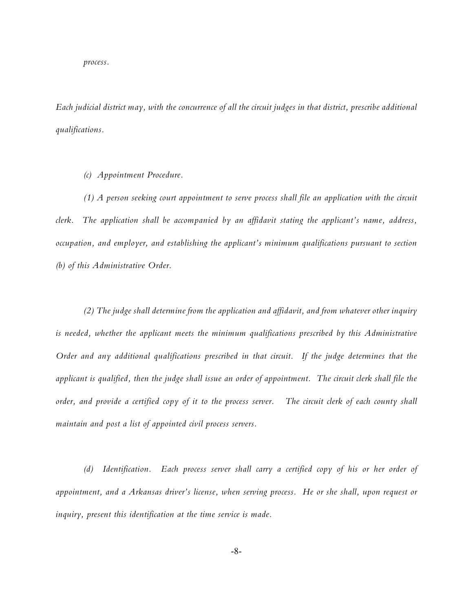*process.*

*Each judicial district may, with the concurrence of all the circuit judges in that district, prescribe additional qualifications.*

*(c) Appointment Procedure.* 

*(1) A person seeking court appointment to serve process shall file an application with the circuit clerk. The application shall be accompanied by an affidavit stating the applicant's name, address, occupation, and employer, and establishing the applicant's minimum qualifications pursuant to section (b) of this Administrative Order.*

*(2) The judge shall determine from the application and affidavit, and from whatever other inquiry is needed, whether the applicant meets the minimum qualifications prescribed by this Administrative Order and any additional qualifications prescribed in that circuit. If the judge determines that the applicant is qualified, then the judge shall issue an order of appointment. The circuit clerk shall file the order, and provide a certified copy of it to the process server. The circuit clerk of each county shall maintain and post a list of appointed civil process servers.* 

*(d) Identification. Each process server shall carry a certified copy of his or her order of appointment, and a Arkansas driver's license, when serving process. He or she shall, upon request or inquiry, present this identification at the time service is made.*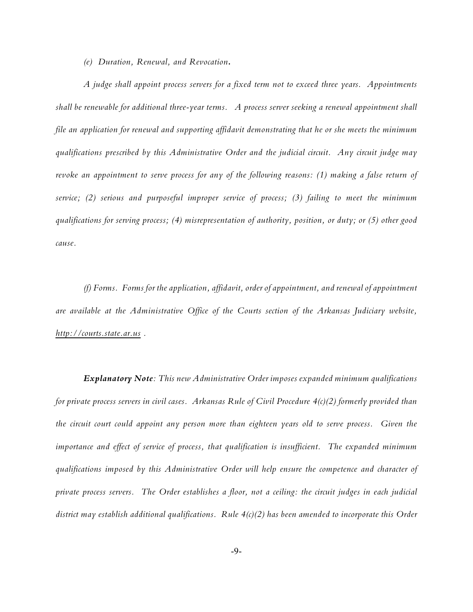*(e) Duration, Renewal, and Revocation.* 

*A judge shall appoint process servers for a fixed term not to exceed three years. Appointments shall be renewable for additional three-year terms. A process server seeking a renewal appointment shall file an application for renewal and supporting affidavit demonstrating that he or she meets the minimum qualifications prescribed by this Administrative Order and the judicial circuit. Any circuit judge may revoke an appointment to serve process for any of the following reasons: (1) making a false return of service; (2) serious and purposeful improper service of process; (3) failing to meet the minimum qualifications for serving process; (4) misrepresentation of authority, position, or duty; or (5) other good cause.*

*(f) Forms. Forms for the application, affidavit, order of appointment, and renewal of appointment are available at the Administrative Office of the Courts section of the Arkansas Judiciary website, [http://courts.state.ar.us](http://courts.state.ar.us.,) .*

*Explanatory Note: This new Administrative Order imposes expanded minimum qualifications for private process servers in civil cases. Arkansas Rule of Civil Procedure 4(c)(2) formerly provided than the circuit court could appoint any person more than eighteen years old to serve process. Given the importance and effect of service of process, that qualification is insufficient. The expanded minimum qualifications imposed by this Administrative Order will help ensure the competence and character of private process servers. The Order establishes a floor, not a ceiling: the circuit judges in each judicial district may establish additional qualifications. Rule 4(c)(2) has been amended to incorporate this Order*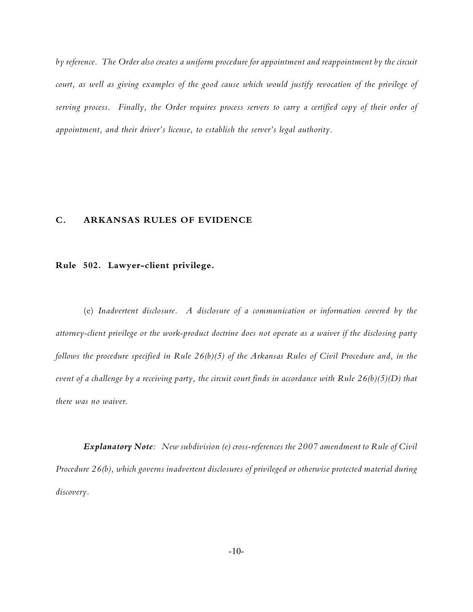*by reference. The Order also creates a uniform procedure for appointment and reappointment by the circuit court, as well as giving examples of the good cause which would justify revocation of the privilege of serving process. Finally, the Order requires process servers to carry a certified copy of their order of appointment, and their driver's license, to establish the server's legal authority.*

# **C. ARKANSAS RULES OF EVIDENCE**

## **Rule 502. Lawyer-client privilege.**

(e) *Inadvertent disclosure*. *A disclosure of a communication or information covered by the attorney-client privilege or the work-product doctrine does not operate as a waiver if the disclosing party follows the procedure specified in Rule 26(b)(5) of the Arkansas Rules of Civil Procedure and, in the event of a challenge by a receiving party, the circuit court finds in accordance with Rule 26(b)(5)(D) that there was no waiver.* 

*Explanatory Note: New subdivision (e) cross-references the 2007 amendment to Rule of Civil Procedure 26(b), which governs inadvertent disclosures of privileged or otherwise protected material during discovery.*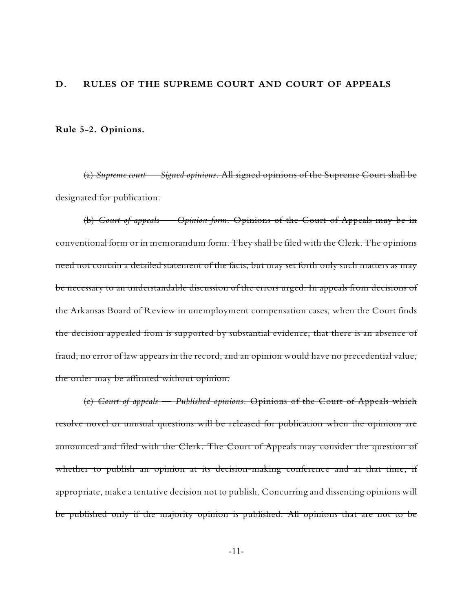## **D. RULES OF THE SUPREME COURT AND COURT OF APPEALS**

**Rule 5-2. Opinions.**

(a) *Supreme court* — *Signed opinions.* All signed opinions of the Supreme Court shall be designated for publication.

(b) *Court of appeals* — *Opinion form.* Opinions of the Court of Appeals may be in conventional form or in memorandum form. They shall be filed with the Clerk. The opinions need not contain a detailed statement of the facts, but may set forth only such matters as may be necessary to an understandable discussion of the errors urged. In appeals from decisions of the Arkansas Board of Review in unemployment compensation cases, when the Court finds the decision appealed from is supported by substantial evidence, that there is an absence of fraud, no error of law appears in the record, and an opinion would have no precedential value, the order may be affirmed without opinion.

(c) *Court of appeals* — *Published opinions.* Opinions of the Court of Appeals which resolve novel or unusual questions will be released for publication when the opinions are announced and filed with the Clerk. The Court of Appeals may consider the question of whether to publish an opinion at its decision-making conference and at that time, if appropriate, make a tentative decision not to publish. Concurring and dissenting opinions will be published only if the majority opinion is published. All opinions that are not to be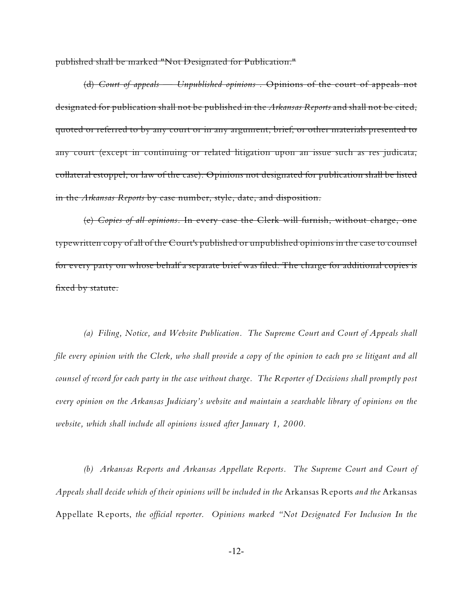published shall be marked "Not Designated for Publication."

(d) *Court of appeals* — *Unpublished opinions .* Opinions of the court of appeals not designated for publication shall not be published in the *Arkansas Reports* and shall not be cited, quoted or referred to by any court or in any argument, brief, or other materials presented to any court (except in continuing or related litigation upon an issue such as res judicata, collateral estoppel, or law of the case). Opinions not designated for publication shall be listed in the *Arkansas Reports* by case number, style, date, and disposition.

(e) *Copies of all opinions.* In every case the Clerk will furnish, without charge, one typewritten copy of all of the Court's published or unpublished opinions in the case to counsel for every party on whose behalf a separate brief was filed. The charge for additional copies is fixed by statute.

*(a) Filing, Notice, and Website Publication. The Supreme Court and Court of Appeals shall file every opinion with the Clerk, who shall provide a copy of the opinion to each pro se litigant and all counsel of record for each party in the case without charge. The Reporter of Decisions shall promptly post every opinion on the Arkansas Judiciary's website and maintain a searchable library of opinions on the website, which shall include all opinions issued after January 1, 2000.* 

*(b) Arkansas Reports and Arkansas Appellate Reports. The Supreme Court and Court of Appeals shall decide which of their opinions will be included in the* Arkansas Reports *and the* Arkansas Appellate Reports, *the official reporter. Opinions marked "Not Designated For Inclusion In the*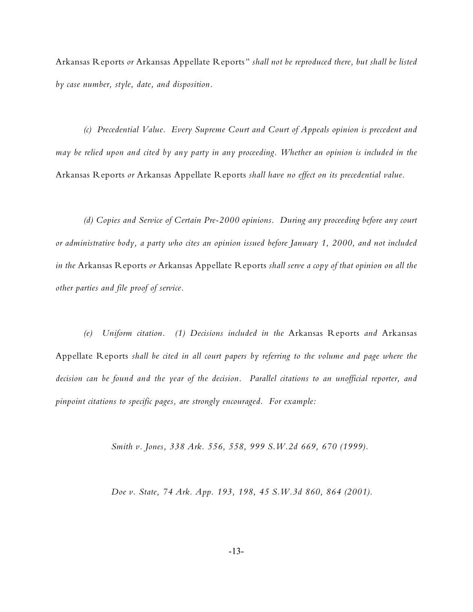Arkansas Reports *or* Arkansas Appellate Reports*" shall not be reproduced there, but shall be listed by case number, style, date, and disposition.* 

*(c) Precedential Value. Every Supreme Court and Court of Appeals opinion is precedent and may be relied upon and cited by any party in any proceeding. Whether an opinion is included in the* Arkansas Reports *or* Arkansas Appellate Reports *shall have no effect on its precedential value.* 

*(d) Copies and Service of Certain Pre-2000 opinions. During any proceeding before any court or administrative body, a party who cites an opinion issued before January 1, 2000, and not included in the* Arkansas Reports *or* Arkansas Appellate Reports *shall serve a copy of that opinion on all the other parties and file proof of service.*

*(e) Uniform citation. (1) Decisions included in the* Arkansas Reports *and* Arkansas Appellate Reports *shall be cited in all court papers by referring to the volume and page where the decision can be found and the year of the decision. Parallel citations to an unofficial reporter, and pinpoint citations to specific pages, are strongly encouraged. For example:*

*Smith v. Jones, 338 Ark. 556, 558, 999 S.W.2d 669, 670 (1999).*

*Doe v. State, 74 Ark. App. 193, 198, 45 S.W.3d 860, 864 (2001).*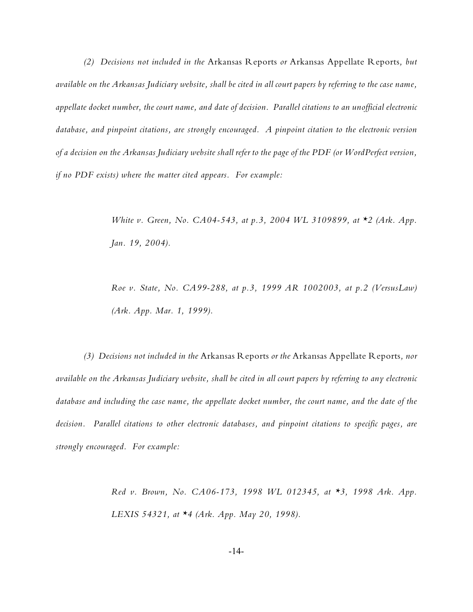*(2) Decisions not included in the* Arkansas Reports *or* Arkansas Appellate Reports*, but available on the Arkansas Judiciary website, shall be cited in all court papers by referring to the case name, appellate docket number, the court name, and date of decision. Parallel citations to an unofficial electronic database, and pinpoint citations, are strongly encouraged. A pinpoint citation to the electronic version of a decision on the Arkansas Judiciary website shall refer to the page of the PDF (or WordPerfect version, if no PDF exists) where the matter cited appears. For example:*

> *White v. Green, No. CA04-543, at p.3, 2004 WL 3109899, at \*2 (Ark. App. Jan. 19, 2004).*

> *Roe v. State, No. CA99-288, at p.3, 1999 AR 1002003, at p.2 (VersusLaw) (Ark. App. Mar. 1, 1999).*

*(3) Decisions not included in the* Arkansas Reports *or the* Arkansas Appellate Reports*, nor available on the Arkansas Judiciary website, shall be cited in all court papers by referring to any electronic database and including the case name, the appellate docket number, the court name, and the date of the decision. Parallel citations to other electronic databases, and pinpoint citations to specific pages, are strongly encouraged. For example:*

> *Red v. Brown, No. CA06-173, 1998 WL 012345, at \*3, 1998 Ark. App. LEXIS 54321, at \*4 (Ark. App. May 20, 1998).*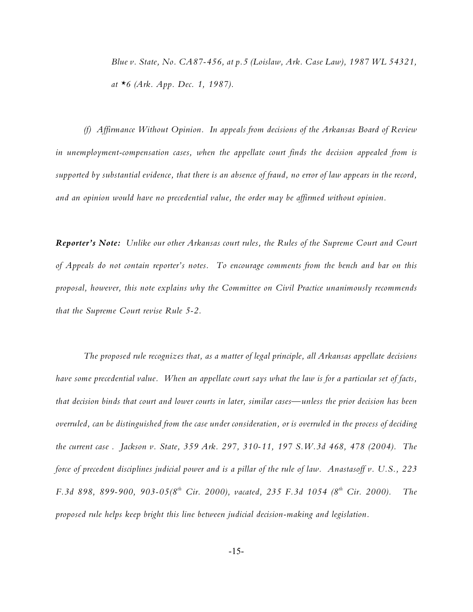*Blue v. State, No. CA87-456, at p.5 (Loislaw, Ark. Case Law), 1987 WL 54321, at \*6 (Ark. App. Dec. 1, 1987).* 

*(f) Affirmance Without Opinion. In appeals from decisions of the Arkansas Board of Review in unemployment-compensation cases, when the appellate court finds the decision appealed from is supported by substantial evidence, that there is an absence of fraud, no error of law appears in the record, and an opinion would have no precedential value, the order may be affirmed without opinion.*

*Reporter's Note: Unlike our other Arkansas court rules, the Rules of the Supreme Court and Court of Appeals do not contain reporter's notes. To encourage comments from the bench and bar on this proposal, however, this note explains why the Committee on Civil Practice unanimously recommends that the Supreme Court revise Rule 5-2.*

*The proposed rule recognizes that, as a matter of legal principle, all Arkansas appellate decisions have some precedential value. When an appellate court says what the law is for a particular set of facts, that decision binds that court and lower courts in later, similar cases—unless the prior decision has been overruled, can be distinguished from the case under consideration, or is overruled in the process of deciding the current case . Jackson v. State, 359 Ark. 297, 310-11, 197 S.W.3d 468, 478 (2004). The force of precedent disciplines judicial power and is a pillar of the rule of law. Anastasoff v. U.S., 223 F.3d 898, 899-900, 903-05(8<sup>th</sup> Cir. 2000), vacated, 235 F.3d 1054 (8<sup>th</sup> Cir. 2000). The proposed rule helps keep bright this line between judicial decision-making and legislation.*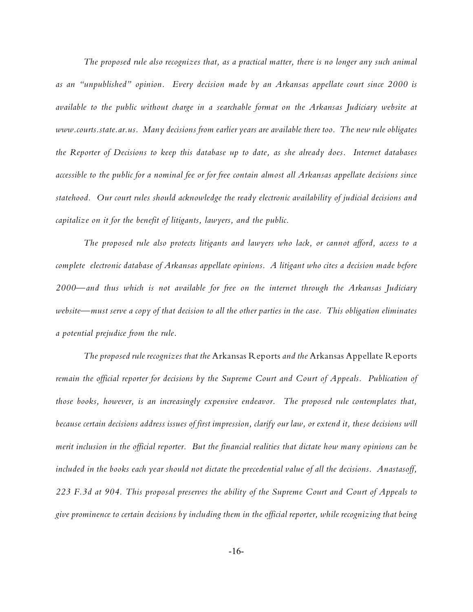*The proposed rule also recognizes that, as a practical matter, there is no longer any such animal as an "unpublished" opinion. Every decision made by an Arkansas appellate court since 2000 is available to the public without charge in a searchable format on the Arkansas Judiciary website at www.courts.state.ar.us. Many decisions from earlier years are available there too. The new rule obligates the Reporter of Decisions to keep this database up to date, as she already does. Internet databases accessible to the public for a nominal fee or for free contain almost all Arkansas appellate decisions since statehood. Our court rules should acknowledge the ready electronic availability of judicial decisions and capitalize on it for the benefit of litigants, lawyers, and the public.*

*The proposed rule also protects litigants and lawyers who lack, or cannot afford, access to a complete electronic database of Arkansas appellate opinions. A litigant who cites a decision made before 2000—and thus which is not available for free on the internet through the Arkansas Judiciary website—must serve a copy of that decision to all the other parties in the case. This obligation eliminates a potential prejudice from the rule.*

*The proposed rule recognizes that the* Arkansas Reports *and the* Arkansas Appellate Reports *remain the official reporter for decisions by the Supreme Court and Court of Appeals. Publication of those books, however, is an increasingly expensive endeavor. The proposed rule contemplates that, because certain decisions address issues of first impression, clarify our law, or extend it, these decisions will merit inclusion in the official reporter. But the financial realities that dictate how many opinions can be included in the books each year should not dictate the precedential value of all the decisions. Anastasoff, 223 F.3d at 904. This proposal preserves the ability of the Supreme Court and Court of Appeals to give prominence to certain decisions by including them in the official reporter, while recognizing that being*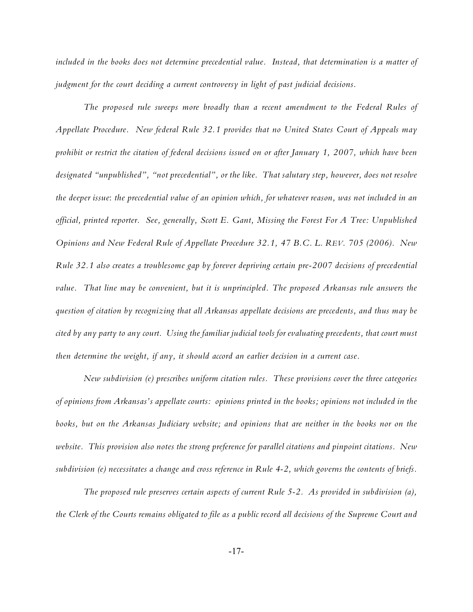*included in the books does not determine precedential value. Instead, that determination is a matter of judgment for the court deciding a current controversy in light of past judicial decisions.*

*The proposed rule sweeps more broadly than a recent amendment to the Federal Rules of Appellate Procedure. New federal Rule 32.1 provides that no United States Court of Appeals may prohibit or restrict the citation of federal decisions issued on or after January 1, 2007, which have been designated "unpublished", "not precedential", or the like. That salutary step, however, does not resolve the deeper issue*: *the precedential value of an opinion which, for whatever reason, was not included in an official, printed reporter. See, generally, Scott E. Gant, Missing the Forest For A Tree: Unpublished Opinions and New Federal Rule of Appellate Procedure 32.1, 47 B.C. L. REV. 705 (2006). New Rule 32.1 also creates a troublesome gap by forever depriving certain pre-2007 decisions of precedential value. That line may be convenient, but it is unprincipled. The proposed Arkansas rule answers the question of citation by recognizing that all Arkansas appellate decisions are precedents, and thus may be cited by any party to any court. Using the familiar judicial tools for evaluating precedents, that court must then determine the weight, if any, it should accord an earlier decision in a current case.*

*New subdivision (e) prescribes uniform citation rules. These provisions cover the three categories of opinions from Arkansas's appellate courts: opinions printed in the books; opinions not included in the books, but on the Arkansas Judiciary website; and opinions that are neither in the books nor on the website. This provision also notes the strong preference for parallel citations and pinpoint citations. New subdivision (e) necessitates a change and cross reference in Rule 4-2, which governs the contents of briefs.*

*The proposed rule preserves certain aspects of current Rule 5-2. As provided in subdivision (a), the Clerk of the Courts remains obligated to file as a public record all decisions of the Supreme Court and*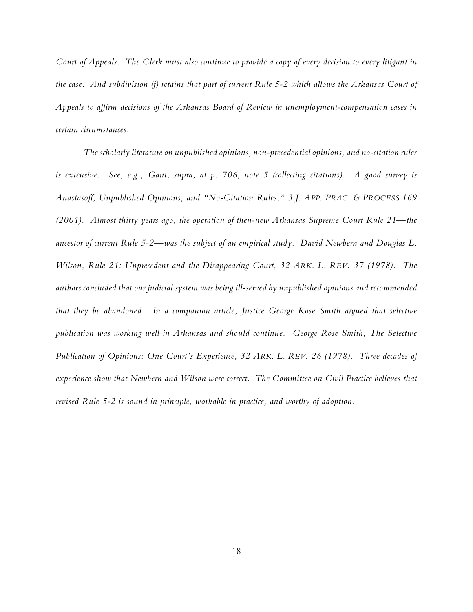*Court of Appeals. The Clerk must also continue to provide a copy of every decision to every litigant in the case. And subdivision (f) retains that part of current Rule 5-2 which allows the Arkansas Court of Appeals to affirm decisions of the Arkansas Board of Review in unemployment-compensation cases in certain circumstances.*

*The scholarly literature on unpublished opinions, non-precedential opinions, and no-citation rules is extensive. See, e.g., Gant, supra, at p. 706, note 5 (collecting citations). A good survey is Anastasoff, Unpublished Opinions, and "No-Citation Rules," 3 J. APP. PRAC. & PROCESS 169 (2001). Almost thirty years ago, the operation of then-new Arkansas Supreme Court Rule 21—the ancestor of current Rule 5-2—was the subject of an empirical study. David Newbern and Douglas L. Wilson, Rule 21: Unprecedent and the Disappearing Court, 32 ARK. L. REV. 37 (1978). The authors concluded that our judicial system was being ill-served by unpublished opinions and recommended that they be abandoned. In a companion article, Justice George Rose Smith argued that selective publication was working well in Arkansas and should continue. George Rose Smith, The Selective Publication of Opinions: One Court's Experience, 32 ARK. L. REV. 26 (1978). Three decades of experience show that Newbern and Wilson were correct. The Committee on Civil Practice believes that revised Rule 5-2 is sound in principle, workable in practice, and worthy of adoption.*